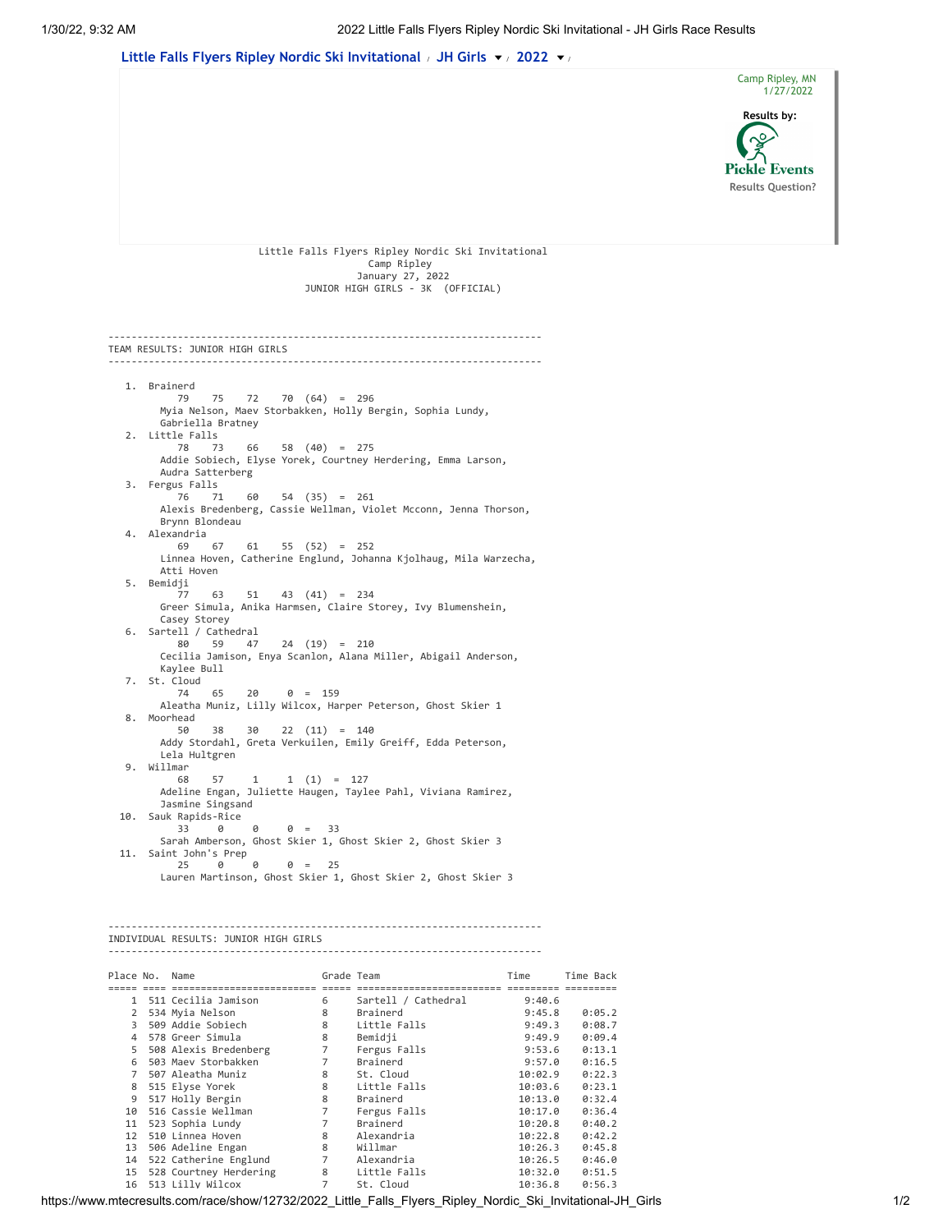

 10 516 Cassie Wellman 7 Fergus Falls 10:17.0 0:36.4 11 523 Sophia Lundy 7 Brainerd 10:20.8 0:40.2 12 510 Linnea Hoven 8 Alexandria 10:22.8 0:42.2 13 506 Adeline Engan 8 Willmar 10:26.3 0:45.8 14 522 Catherine Englund 7 Alexandria 10:26.5 0:46.0 15 528 Courtney Herdering 8 Little Falls 10:32.0 0:51.5 16 513 Lilly Wilcox 7 St. Cloud 10:36.8 0:56.3